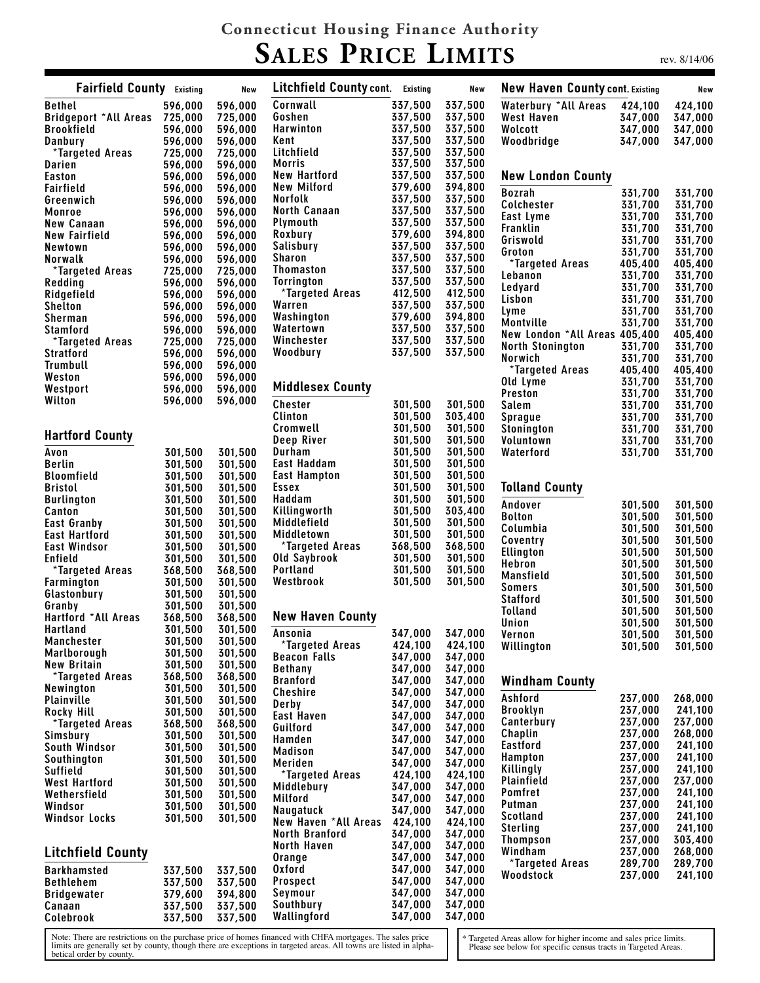## **Connecticut Housing Finance Authority SALES PRICE LIMITS**

rev. 8/14/06

| <b>Fairfield County</b> Existing |                    | New                | Litchfield County cont. Existing          |                    | New                | <b>New Haven County cont. Existing</b> |                    | New                |
|----------------------------------|--------------------|--------------------|-------------------------------------------|--------------------|--------------------|----------------------------------------|--------------------|--------------------|
| <b>Bethel</b>                    | 596,000            | 596,000            | Cornwall                                  | 337,500            | 337,500            | <b>Waterbury *All Areas</b>            | 424,100            | 424,100            |
| Bridgeport *All Areas 725,000    |                    | 725,000            | Goshen                                    | 337,500            | 337,500            | West Haven                             | 347,000            | 347,000            |
| <b>Brookfield</b>                | 596,000            | 596,000            | Harwinton                                 | 337,500            | 337,500            | Wolcott                                | 347,000            | 347,000            |
| Danbury                          | 596,000            | 596,000            | Kent                                      | 337,500            | 337,500            | Woodbridge                             | 347,000            | 347,000            |
| *Targeted Areas                  | 725,000            | 725,000            | Litchfield                                | 337,500            | 337,500            |                                        |                    |                    |
| Darien                           | 596,000            | 596,000            | <b>Morris</b>                             | 337,500            | 337,500            |                                        |                    |                    |
| <b>Easton</b>                    | 596,000            | 596,000            | <b>New Hartford</b><br><b>New Milford</b> | 337,500            | 337,500            | <b>New London County</b>               |                    |                    |
| Fairfield                        | 596,000            | 596,000<br>596,000 | <b>Norfolk</b>                            | 379,600<br>337,500 | 394,800<br>337,500 | <b>Bozrah</b>                          | 331,700            | 331,700            |
| Greenwich<br>Monroe              | 596,000<br>596,000 | 596,000            | <b>North Canaan</b>                       | 337,500            | 337,500            | <b>Colchester</b>                      | 331,700            | 331.700            |
| <b>New Canaan</b>                | 596,000            | 596,000            | Plymouth                                  | 337,500            | 337,500            | East Lyme                              | 331,700            | 331,700            |
| New Fairfield                    | 596,000            | 596,000            | Roxbury                                   | 379,600            | 394,800            | Franklin                               | 331,700            | 331,700            |
| Newtown                          | 596,000            | 596,000            | Salisbury                                 | 337,500            | 337,500            | Griswold                               | 331,700            | 331,700            |
| Norwalk                          | 596,000            | 596,000            | Sharon                                    | 337,500            | 337,500            | Groton                                 | 331,700            | 331,700            |
| *Targeted Areas                  | 725,000            | 725,000            | Thomaston                                 | 337,500            | 337,500            | *Targeted Areas                        | 405,400            | 405,400            |
| Redding                          | 596,000            | 596,000            | <b>Torrington</b>                         | 337,500            | 337,500            | Lebanon                                | 331,700            | 331,700            |
| Ridgefield                       | 596,000            | 596,000            | *Targeted Areas                           | 412,500            | 412,500            | Ledyard                                | 331,700            | 331,700            |
| Shelton                          | 596,000            | 596,000            | Warren                                    | 337,500            | 337,500            | Lisbon                                 | 331,700            | 331,700            |
| <b>Sherman</b>                   | 596,000            | 596,000            | Washington                                | 379,600            | 394,800            | Lyme<br>Montville                      | 331,700<br>331,700 | 331,700<br>331,700 |
| <b>Stamford</b>                  | 596,000            | 596,000            | Watertown                                 | 337,500            | 337,500            | New London *All Areas 405,400          |                    | 405,400            |
| *Targeted Areas                  | 725,000            | 725,000            | Winchester                                | 337,500            | 337,500            | <b>North Stonington</b>                | 331,700            | 331,700            |
| <b>Stratford</b>                 | 596,000            | 596,000            | Woodbury                                  | 337,500            | 337,500            | Norwich                                | 331,700            | 331,700            |
| Trumbull                         | 596,000            | 596,000            |                                           |                    |                    | *Targeted Areas                        | 405,400            | 405,400            |
| Weston                           | 596,000            | 596,000            |                                           |                    |                    | Old Lyme                               | 331,700            | 331,700            |
| Westport                         | 596,000            | 596,000            | <b>Middlesex County</b>                   |                    |                    | Preston                                | 331,700            | 331,700            |
| Wilton                           | 596,000            | 596,000            | <b>Chester</b>                            | 301,500            | 301,500            | <b>Salem</b>                           | 331,700            | 331,700            |
|                                  |                    |                    | Clinton                                   | 301,500            | 303,400            | <b>Sprague</b>                         | 331,700            | 331.700            |
|                                  |                    |                    | Cromwell                                  | 301,500            | 301,500            | Stonington                             | 331,700            | 331,700            |
| <b>Hartford County</b>           |                    |                    | Deep River                                | 301,500            | 301,500            | Voluntown                              | 331,700            | 331,700            |
| Avon                             | 301,500            | 301,500            | Durham                                    | 301,500            | 301,500            | Waterford                              | 331,700            | 331,700            |
| <b>Berlin</b>                    | 301,500            | 301,500            | East Haddam                               | 301,500            | 301,500            |                                        |                    |                    |
| <b>Bloomfield</b>                | 301,500            | 301,500            | <b>East Hampton</b>                       | 301,500            | 301,500            |                                        |                    |                    |
| <b>Bristol</b>                   | 301,500            | 301,500            | Essex                                     | 301,500            | 301,500            | <b>Tolland County</b>                  |                    |                    |
| <b>Burlington</b>                | 301,500            | 301,500            | Haddam                                    | 301,500            | 301,500            | Andover                                | 301,500            | 301,500            |
| Canton                           | 301,500            | 301,500            | Killingworth                              | 301,500            | 303,400            | <b>Bolton</b>                          | 301,500            | 301,500            |
| East Granby                      | 301,500            | 301,500            | Middlefield                               | 301,500            | 301,500            | Columbia                               | 301,500            | 301,500            |
| East Hartford                    | 301,500            | 301,500            | Middletown                                | 301,500            | 301,500            | Coventry                               | 301,500            | 301,500            |
| <b>East Windsor</b>              | 301,500            | 301,500            | *Targeted Areas                           | 368,500            | 368,500            | Ellington                              | 301,500            | 301,500            |
| Enfield                          | 301,500            | 301,500            | Old Saybrook                              | 301,500            | 301,500            | Hebron                                 | 301,500            | 301.500            |
| *Targeted Areas                  | 368,500            | 368,500            | <b>Portland</b>                           | 301,500            | 301,500            | Mansfield                              | 301,500            | 301,500            |
| <b>Farmington</b>                | 301,500            | 301,500            | Westbrook                                 | 301,500            | 301,500            | <b>Somers</b>                          | 301,500            | 301,500            |
| Glastonbury                      | 301,500            | 301,500            |                                           |                    |                    | <b>Stafford</b>                        | 301,500            | 301,500            |
| Granby<br>Hartford *All Areas    | 301,500<br>368,500 | 301,500            | <b>New Haven County</b>                   |                    |                    | <b>Tolland</b>                         | 301,500            | 301,500            |
| Hartland                         | 301.500            | 368,500<br>301,500 |                                           |                    |                    | Union                                  | 301,500            | 301,500            |
| <b>Manchester</b>                | 301,500            | 301,500            | Ansonia                                   |                    | 347,000 347,000    | Vernon                                 | 301,500            | 301,500            |
| Marlborough                      | 301,500            | 301,500            | *Targeted Areas                           | 424,100            | 424,100            | Willington                             | 301,500            | 301,500            |
| <b>New Britain</b>               | 301,500            | 301,500            | <b>Beacon Falls</b>                       | 347,000            | 347,000            |                                        |                    |                    |
| *Targeted Areas                  | 368,500            | 368,500            | <b>Bethany</b>                            | 347,000            | 347.000            |                                        |                    |                    |
| <b>Newington</b>                 | 301,500            | 301,500            | <b>Branford</b>                           | 347,000            | 347,000            | <b>Windham County</b>                  |                    |                    |
| <b>Plainville</b>                | 301,500            | 301,500            | Cheshire<br>Derby                         | 347,000<br>347,000 | 347,000<br>347.000 | Ashford                                | 237.000            | 268,000            |
| <b>Rocky Hill</b>                | 301,500            | 301,500            | <b>East Haven</b>                         | 347,000            | 347,000            | <b>Brooklyn</b>                        | 237,000            | 241,100            |
| *Targeted Areas                  | 368,500            | 368,500            | Guilford                                  | 347,000            | 347,000            | Canterbury                             | 237,000            | 237,000            |
| Simsbury                         | 301,500            | 301,500            | Hamden                                    | 347,000            | 347,000            | Chaplin                                | 237,000            | 268,000            |
| South Windsor                    | 301,500            | 301,500            | <b>Madison</b>                            | 347,000            | 347,000            | Eastford                               | 237,000            | 241,100            |
| Southington                      | 301,500            | 301,500            | Meriden                                   | 347,000            | 347,000            | <b>Hampton</b>                         | 237,000            | 241,100            |
| <b>Suffield</b>                  | 301,500            | 301,500            | *Targeted Areas                           | 424,100            | 424,100            | Killingly                              | 237,000            | 241,100            |
| <b>West Hartford</b>             | 301,500            | 301,500            | Middlebury                                | 347,000            | 347,000            | Plainfield                             | 237,000            | 237,000            |
| Wethersfield                     | 301,500            | 301,500            | Milford                                   | 347,000            | 347,000            | Pomfret                                | 237,000            | 241,100            |
| Windsor                          | 301,500            | 301,500            | Naugatuck                                 | 347,000            | 347,000            | Putman<br>Scotland                     | 237,000<br>237,000 | 241,100<br>241,100 |
| <b>Windsor Locks</b>             | 301,500            | 301,500            | New Haven *All Areas                      | 424,100            | 424,100            | <b>Sterling</b>                        | 237,000            | 241,100            |
|                                  |                    |                    | <b>North Branford</b>                     | 347,000            | 347,000            | <b>Thompson</b>                        | 237,000            | 303,400            |
| <b>Litchfield County</b>         |                    |                    | North Haven                               | 347,000            | 347,000            | Windham                                | 237,000            | 268,000            |
|                                  |                    |                    | Orange                                    | 347,000            | 347,000            | *Targeted Areas                        | 289,700            | 289,700            |
| Barkhamsted                      | 337,500            | 337,500            | <b>Oxford</b>                             | 347,000            | 347,000            | Woodstock                              | 237,000            | 241,100            |
| <b>Bethlehem</b>                 | 337,500            | 337,500            | <b>Prospect</b>                           | 347,000            | 347,000            |                                        |                    |                    |
| <b>Bridgewater</b>               | 379,600            | 394,800            | Seymour<br>Southbury                      | 347,000<br>347,000 | 347,000<br>347,000 |                                        |                    |                    |
| Canaan<br>Colebrook              | 337,500<br>337,500 | 337,500<br>337,500 | Wallingford                               | 347,000            | 347,000            |                                        |                    |                    |
|                                  |                    |                    |                                           |                    |                    |                                        |                    |                    |

Note: There are restrictions on the purchase price of homes financed with CHFA mortgages. The sales price<br>limits are generally set by county, though there are exceptions in targeted areas. All towns are listed in alpha-<br>be

\* Targeted Areas allow for higher income and sales price limits. Please see below for specific census tracts in Targeted Areas.